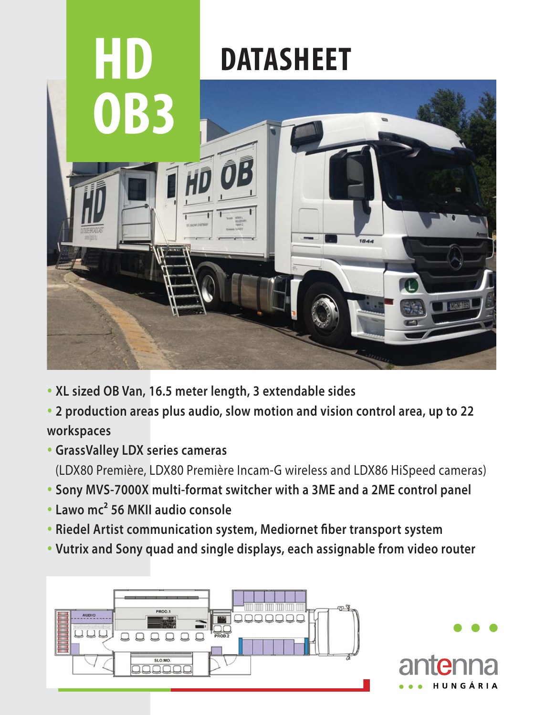

- **XL sized OB Van, 16.5 meter length, 3 extendable sides**
- **2 production areas plus audio, slow motion and vision control area, up to 22 workspaces**
- **GrassValley LDX series cameras** (LDX80 Première, LDX80 Première Incam-G wireless and LDX86 HiSpeed cameras)
- **Sony MVS-7000X multi-format switcher with a 3ME and a 2ME control panel**
- **Lawo mc² 56 MKII audio console**
- **Riedel Artist communication system, Mediornet fiber transport system**
- **Vutrix and Sony quad and single displays, each assignable from video router**